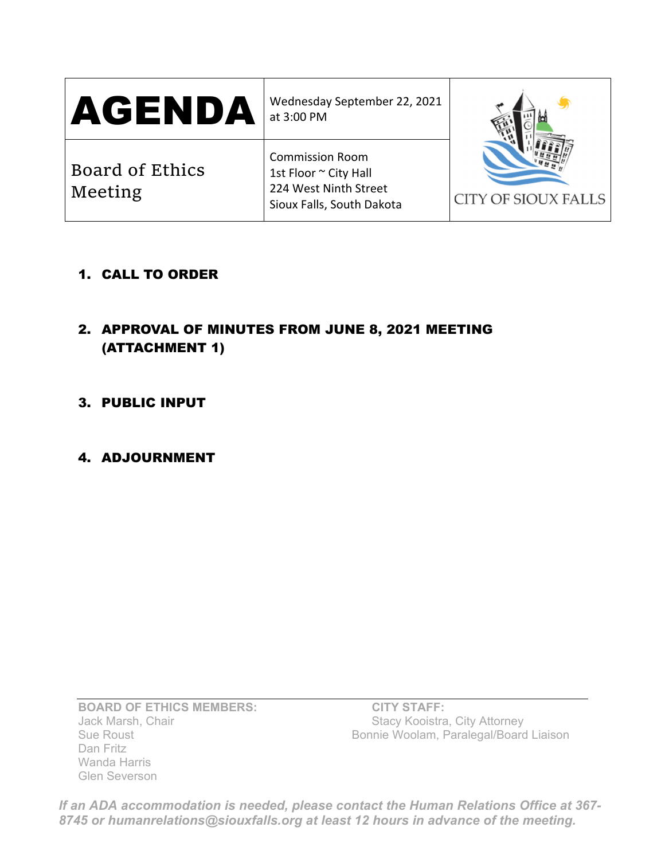| AGENDA                     | Wednesday September 22, 2021<br>at 3:00 PM                                                            |                     |
|----------------------------|-------------------------------------------------------------------------------------------------------|---------------------|
| Board of Ethics<br>Meeting | <b>Commission Room</b><br>1st Floor ~ City Hall<br>224 West Ninth Street<br>Sioux Falls, South Dakota | CITY OF SIOUX FALLS |

- 1. CALL TO ORDER
- 2. APPROVAL OF MINUTES FROM JUNE 8, 2021 MEETING (ATTACHMENT 1)
- 3. PUBLIC INPUT
- 4. ADJOURNMENT

**BOARD OF ETHICS MEMBERS:** CITY STAFF: Jack Marsh, Chair Stacy Kooistra, City Attorney Dan Fritz Wanda Harris Glen Severson

Bonnie Woolam, Paralegal/Board Liaison

*If an ADA accommodation is needed, please contact the Human Relations Office at 367- 8745 or humanrelations@siouxfalls.org at least 12 hours in advance of the meeting.*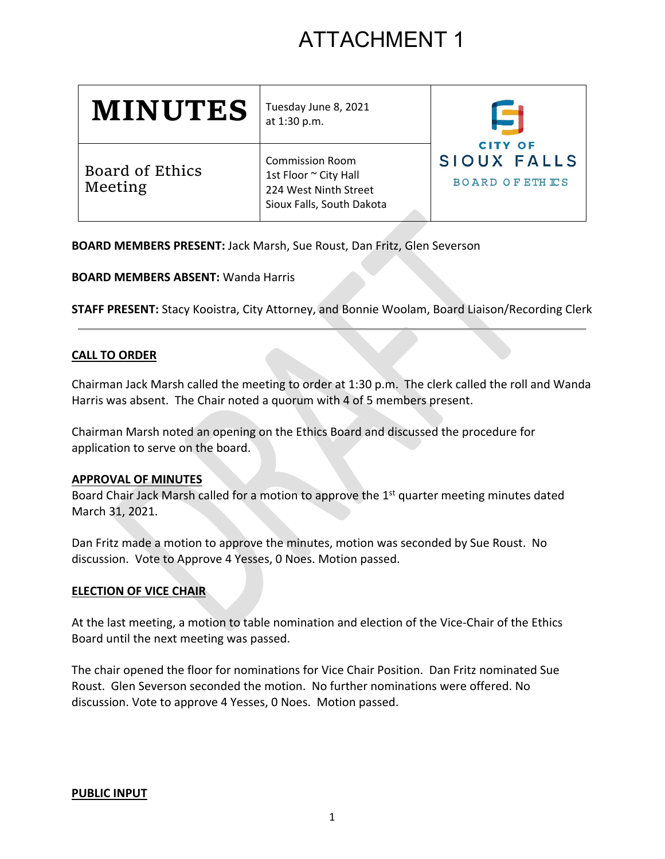# ATTACHMENT 1

| <b>MINUTES</b>             | Tuesday June 8, 2021<br>at 1:30 p.m.                                                                  | <b>CITY OF</b><br>SIOUX FALLS<br><b>BOARD OF ETHICS</b> |
|----------------------------|-------------------------------------------------------------------------------------------------------|---------------------------------------------------------|
| Board of Ethics<br>Meeting | <b>Commission Room</b><br>1st Floor ~ City Hall<br>224 West Ninth Street<br>Sioux Falls, South Dakota |                                                         |

**BOARD MEMBERS PRESENT:** Jack Marsh, Sue Roust, Dan Fritz, Glen Severson

**BOARD MEMBERS ABSENT:** Wanda Harris

**STAFF PRESENT:** Stacy Kooistra, City Attorney, and Bonnie Woolam, Board Liaison/Recording Clerk

## **CALL TO ORDER**

Chairman Jack Marsh called the meeting to order at 1:30 p.m. The clerk called the roll and Wanda Harris was absent. The Chair noted a quorum with 4 of 5 members present.

Chairman Marsh noted an opening on the Ethics Board and discussed the procedure for application to serve on the board.

## **APPROVAL OF MINUTES**

Board Chair Jack Marsh called for a motion to approve the  $1<sup>st</sup>$  quarter meeting minutes dated March 31, 2021.

Dan Fritz made a motion to approve the minutes, motion was seconded by Sue Roust. No discussion. Vote to Approve 4 Yesses, 0 Noes. Motion passed.

## **ELECTION OF VICE CHAIR**

At the last meeting, a motion to table nomination and election of the Vice‐Chair of the Ethics Board until the next meeting was passed.

The chair opened the floor for nominations for Vice Chair Position. Dan Fritz nominated Sue Roust. Glen Severson seconded the motion. No further nominations were offered. No discussion. Vote to approve 4 Yesses, 0 Noes. Motion passed.

## **PUBLIC INPUT**